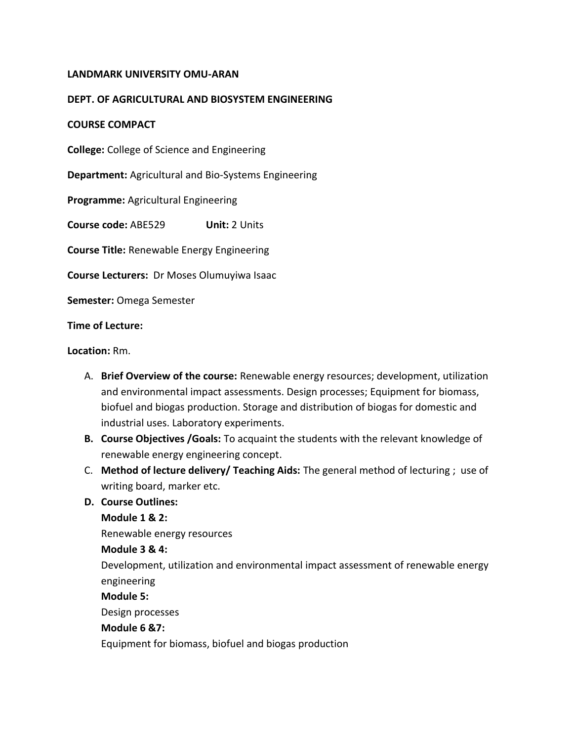# **LANDMARK UNIVERSITY OMU-ARAN**

# **DEPT. OF AGRICULTURAL AND BIOSYSTEM ENGINEERING**

### **COURSE COMPACT**

**College:** College of Science and Engineering

**Department:** Agricultural and Bio-Systems Engineering

**Programme:** Agricultural Engineering

**Course code:** ABE529 **Unit:** 2 Units

**Course Title:** Renewable Energy Engineering

**Course Lecturers:** Dr Moses Olumuyiwa Isaac

**Semester:** Omega Semester

**Time of Lecture:**

**Location:** Rm.

- A. **Brief Overview of the course:** Renewable energy resources; development, utilization and environmental impact assessments. Design processes; Equipment for biomass, biofuel and biogas production. Storage and distribution of biogas for domestic and industrial uses. Laboratory experiments.
- **B. Course Objectives /Goals:** To acquaint the students with the relevant knowledge of renewable energy engineering concept.
- C. **Method of lecture delivery/ Teaching Aids:** The general method of lecturing ; use of writing board, marker etc.
- **D. Course Outlines:**

**Module 1 & 2:**

Renewable energy resources

#### **Module 3 & 4:**

Development, utilization and environmental impact assessment of renewable energy engineering

#### **Module 5:**

Design processes

## **Module 6 &7:**

Equipment for biomass, biofuel and biogas production